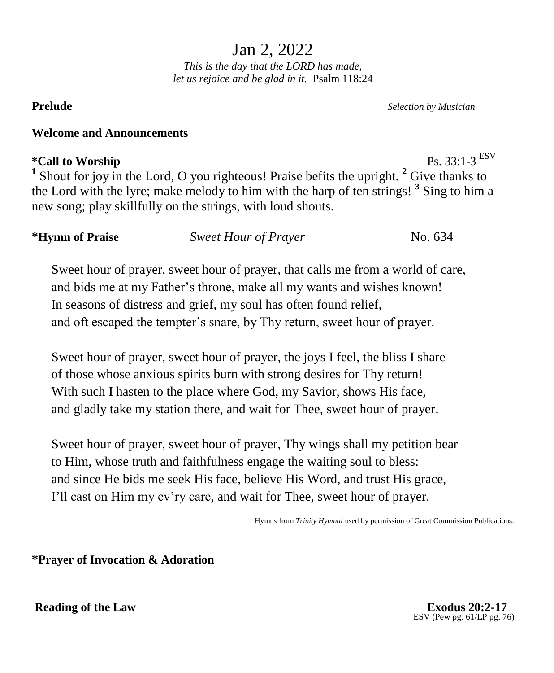Jan 2, 2022

*This is the day that the LORD has made, let us rejoice and be glad in it.* Psalm 118:24

**Prelude** *Selection by Musician*

### **Welcome and Announcements**

# $*$ Call to Worship

 $Ps. 33 \cdot 1 - 3$  ESV <sup>1</sup> Shout for joy in the Lord, O you righteous! Praise befits the upright. <sup>2</sup> Give thanks to the Lord with the lyre; make melody to him with the harp of ten strings! **<sup>3</sup>** Sing to him a new song; play skillfully on the strings, with loud shouts.

**\*Hymn of Praise** *Sweet Hour of Prayer* No. 634

Sweet hour of prayer, sweet hour of prayer, that calls me from a world of care, and bids me at my Father's throne, make all my wants and wishes known! In seasons of distress and grief, my soul has often found relief, and oft escaped the tempter's snare, by Thy return, sweet hour of prayer.

Sweet hour of prayer, sweet hour of prayer, the joys I feel, the bliss I share of those whose anxious spirits burn with strong desires for Thy return! With such I hasten to the place where God, my Savior, shows His face, and gladly take my station there, and wait for Thee, sweet hour of prayer.

Sweet hour of prayer, sweet hour of prayer, Thy wings shall my petition bear to Him, whose truth and faithfulness engage the waiting soul to bless: and since He bids me seek His face, believe His Word, and trust His grace, I'll cast on Him my ev'ry care, and wait for Thee, sweet hour of prayer.

Hymns from *Trinity Hymnal* used by permission of Great Commission Publications.

**\*Prayer of Invocation & Adoration**

**Reading of the Law Exodus 20:2-17** 

ESV (Pew pg. 61/LP pg. 76)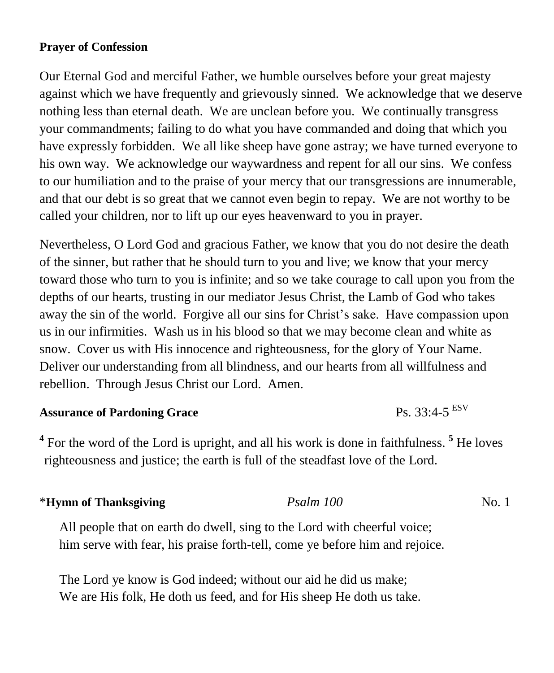## **Prayer of Confession**

Our Eternal God and merciful Father, we humble ourselves before your great majesty against which we have frequently and grievously sinned. We acknowledge that we deserve nothing less than eternal death. We are unclean before you. We continually transgress your commandments; failing to do what you have commanded and doing that which you have expressly forbidden. We all like sheep have gone astray; we have turned everyone to his own way. We acknowledge our waywardness and repent for all our sins. We confess to our humiliation and to the praise of your mercy that our transgressions are innumerable, and that our debt is so great that we cannot even begin to repay. We are not worthy to be called your children, nor to lift up our eyes heavenward to you in prayer.

Nevertheless, O Lord God and gracious Father, we know that you do not desire the death of the sinner, but rather that he should turn to you and live; we know that your mercy toward those who turn to you is infinite; and so we take courage to call upon you from the depths of our hearts, trusting in our mediator Jesus Christ, the Lamb of God who takes away the sin of the world. Forgive all our sins for Christ's sake. Have compassion upon us in our infirmities. Wash us in his blood so that we may become clean and white as snow. Cover us with His innocence and righteousness, for the glory of Your Name. Deliver our understanding from all blindness, and our hearts from all willfulness and rebellion. Through Jesus Christ our Lord. Amen.

# **Assurance of Pardoning Grace**

<sup>4</sup> For the word of the Lord is upright, and all his work is done in faithfulness.<sup>5</sup> He loves righteousness and justice; the earth is full of the steadfast love of the Lord.

 $Ps. 33:4-5$ <sup>ESV</sup>

| Psalm 100<br>*Hymn of Thanksgiving | No. 1 |
|------------------------------------|-------|
|------------------------------------|-------|

All people that on earth do dwell, sing to the Lord with cheerful voice; him serve with fear, his praise forth-tell, come ye before him and rejoice.

The Lord ye know is God indeed; without our aid he did us make; We are His folk, He doth us feed, and for His sheep He doth us take.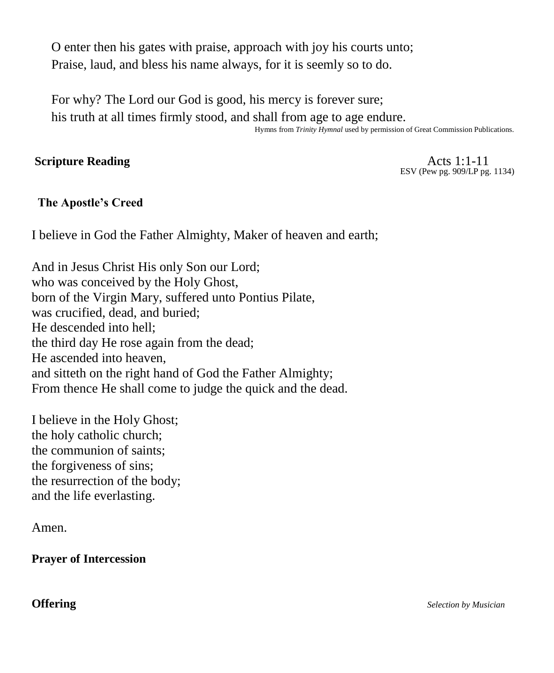O enter then his gates with praise, approach with joy his courts unto; Praise, laud, and bless his name always, for it is seemly so to do.

For why? The Lord our God is good, his mercy is forever sure; his truth at all times firmly stood, and shall from age to age endure.

Hymns from *Trinity Hymnal* used by permission of Great Commission Publications.

# **Scripture Reading**  $\overrightarrow{A}$  (1.1-11

ESV (Pew pg. 909/LP pg. 1134)

# **The Apostle's Creed**

I believe in God the Father Almighty, Maker of heaven and earth;

And in Jesus Christ His only Son our Lord; who was conceived by the Holy Ghost, born of the Virgin Mary, suffered unto Pontius Pilate, was crucified, dead, and buried; He descended into hell; the third day He rose again from the dead; He ascended into heaven, and sitteth on the right hand of God the Father Almighty; From thence He shall come to judge the quick and the dead.

I believe in the Holy Ghost; the holy catholic church; the communion of saints; the forgiveness of sins; the resurrection of the body; and the life everlasting.

Amen.

**Prayer of Intercession**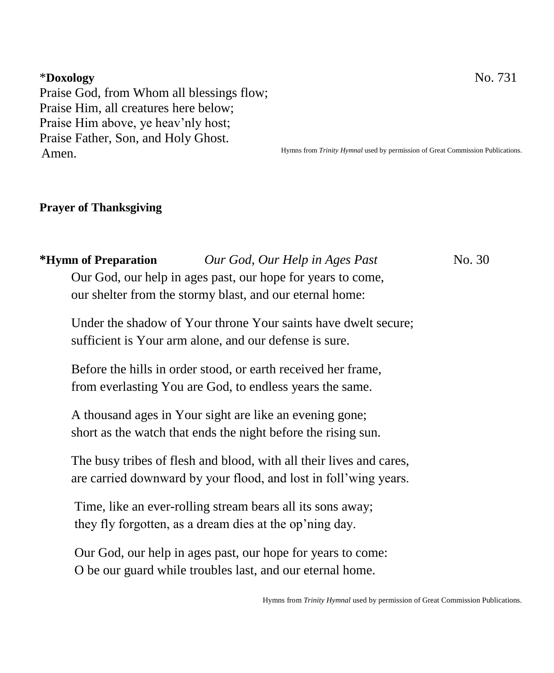### \***Doxology** No. 731

Praise God, from Whom all blessings flow; Praise Him, all creatures here below; Praise Him above, ye heav'nly host; Praise Father, Son, and Holy Ghost. Amen.

Hymns from *Trinity Hymnal* used by permission of Great Commission Publications.

#### **Prayer of Thanksgiving**

**\*Hymn of Preparation** *Our God, Our Help in Ages Past*No. 30 Our God, our help in ages past, our hope for years to come, our shelter from the stormy blast, and our eternal home:

Under the shadow of Your throne Your saints have dwelt secure; sufficient is Your arm alone, and our defense is sure.

Before the hills in order stood, or earth received her frame, from everlasting You are God, to endless years the same.

A thousand ages in Your sight are like an evening gone; short as the watch that ends the night before the rising sun.

The busy tribes of flesh and blood, with all their lives and cares, are carried downward by your flood, and lost in foll'wing years.

Time, like an ever-rolling stream bears all its sons away; they fly forgotten, as a dream dies at the op'ning day.

Our God, our help in ages past, our hope for years to come: O be our guard while troubles last, and our eternal home.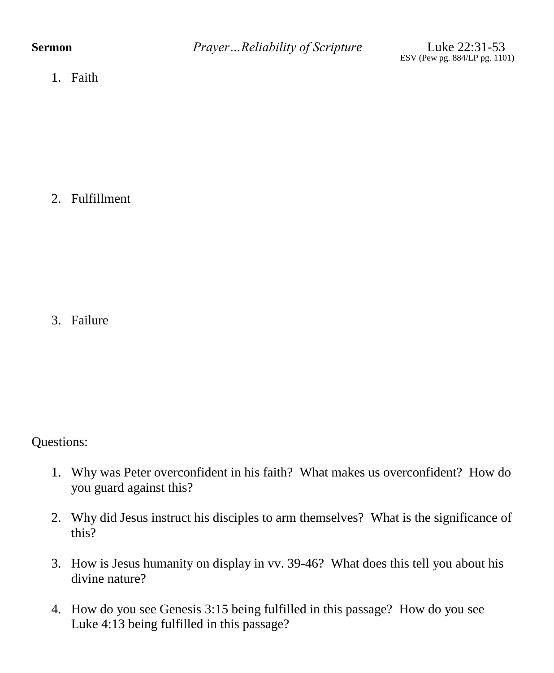1. Faith

2. Fulfillment

3. Failure

Questions:

- 1. Why was Peter overconfident in his faith? What makes us overconfident? How do you guard against this?
- 2. Why did Jesus instruct his disciples to arm themselves? What is the significance of this?
- 3. How is Jesus humanity on display in vv. 39-46? What does this tell you about his divine nature?
- 4. How do you see Genesis 3:15 being fulfilled in this passage? How do you see Luke 4:13 being fulfilled in this passage?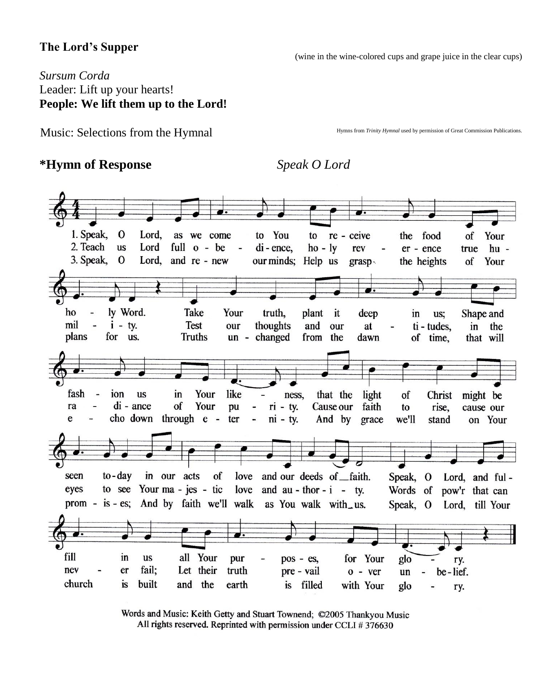# **The Lord's Supper**

(wine in the wine-colored cups and grape juice in the clear cups)

# *Sursum Corda* Leader: Lift up your hearts! **People: We lift them up to the Lord!**

Music: Selections from the Hymnal

Hymns from *Trinity Hymnal* used by permission of Great Commission Publications.

# **\*Hymn of Response** *Speak O Lord*



Words and Music: Keith Getty and Stuart Townend; ©2005 Thankyou Music All rights reserved. Reprinted with permission under CCLI #376630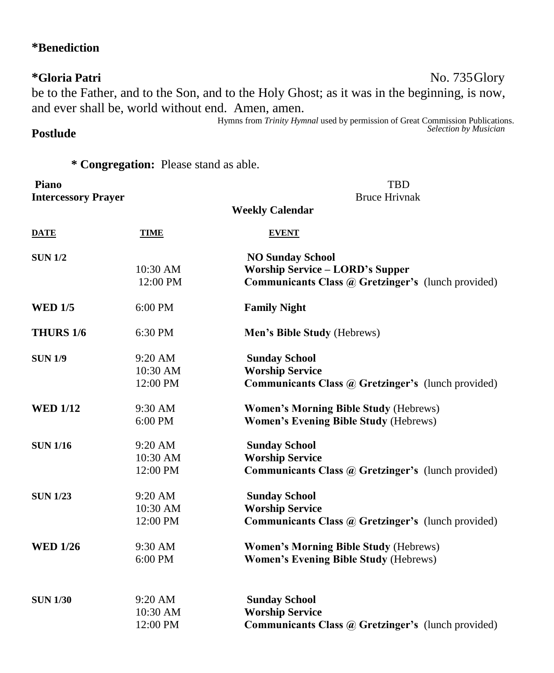# **\*Benediction**

**Postlude** 

# **\*Gloria Patri** No. 735Glory be to the Father, and to the Son, and to the Holy Ghost; as it was in the beginning, is now, and ever shall be, world without end. Amen, amen.

Hymns from *Trinity Hymnal* used by permission of Great Commission Publications. *Selection by Musician*

# **\* Congregation:** Please stand as able.

| Piano<br><b>Intercessory Prayer</b> |                                   | <b>TBD</b><br><b>Bruce Hrivnak</b>                                                                                      |  |  |
|-------------------------------------|-----------------------------------|-------------------------------------------------------------------------------------------------------------------------|--|--|
| <b>Weekly Calendar</b>              |                                   |                                                                                                                         |  |  |
| <b>DATE</b>                         | <b>TIME</b>                       | <b>EVENT</b>                                                                                                            |  |  |
| <b>SUN 1/2</b>                      | 10:30 AM<br>12:00 PM              | <b>NO Sunday School</b><br><b>Worship Service - LORD's Supper</b><br>Communicants Class @ Gretzinger's (lunch provided) |  |  |
| <b>WED 1/5</b>                      | $6:00$ PM                         | <b>Family Night</b>                                                                                                     |  |  |
| <b>THURS 1/6</b>                    | 6:30 PM                           | Men's Bible Study (Hebrews)                                                                                             |  |  |
| <b>SUN 1/9</b>                      | 9:20 AM<br>10:30 AM<br>12:00 PM   | <b>Sunday School</b><br><b>Worship Service</b><br>Communicants Class @ Gretzinger's (lunch provided)                    |  |  |
| <b>WED 1/12</b>                     | 9:30 AM<br>6:00 PM                | <b>Women's Morning Bible Study (Hebrews)</b><br><b>Women's Evening Bible Study (Hebrews)</b>                            |  |  |
| <b>SUN 1/16</b>                     | 9:20 AM<br>10:30 AM<br>12:00 PM   | <b>Sunday School</b><br><b>Worship Service</b><br><b>Communicants Class @ Gretzinger's (lunch provided)</b>             |  |  |
| <b>SUN 1/23</b>                     | $9:20$ AM<br>10:30 AM<br>12:00 PM | <b>Sunday School</b><br><b>Worship Service</b><br>Communicants Class @ Gretzinger's (lunch provided)                    |  |  |
| <b>WED 1/26</b>                     | 9:30 AM<br>6:00 PM                | <b>Women's Morning Bible Study (Hebrews)</b><br><b>Women's Evening Bible Study (Hebrews)</b>                            |  |  |
| <b>SUN 1/30</b>                     | $9:20$ AM<br>10:30 AM<br>12:00 PM | <b>Sunday School</b><br><b>Worship Service</b><br>Communicants Class @ Gretzinger's (lunch provided)                    |  |  |